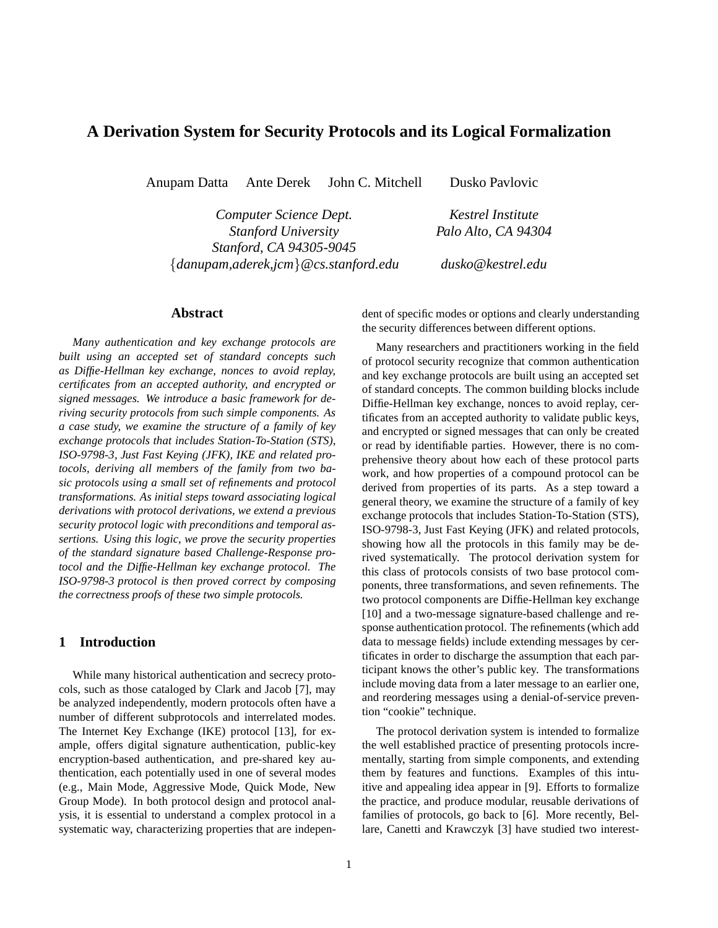# **A Derivation System for Security Protocols and its Logical Formalization**

Anupam Datta Ante Derek John C. Mitchell Dusko Pavlovic

*Computer Science Dept. Kestrel Institute Stanford University Palo Alto, CA 94304 Stanford, CA 94305-9045* {*danupam,aderek,jcm*}*@cs.stanford.edu dusko@kestrel.edu*

## **Abstract**

*Many authentication and key exchange protocols are built using an accepted set of standard concepts such as Diffie-Hellman key exchange, nonces to avoid replay, certificates from an accepted authority, and encrypted or signed messages. We introduce a basic framework for deriving security protocols from such simple components. As a case study, we examine the structure of a family of key exchange protocols that includes Station-To-Station (STS), ISO-9798-3, Just Fast Keying (JFK), IKE and related protocols, deriving all members of the family from two basic protocols using a small set of refinements and protocol transformations. As initial steps toward associating logical derivations with protocol derivations, we extend a previous security protocol logic with preconditions and temporal assertions. Using this logic, we prove the security properties of the standard signature based Challenge-Response protocol and the Diffie-Hellman key exchange protocol. The ISO-9798-3 protocol is then proved correct by composing the correctness proofs of these two simple protocols.*

# **1 Introduction**

While many historical authentication and secrecy protocols, such as those cataloged by Clark and Jacob [7], may be analyzed independently, modern protocols often have a number of different subprotocols and interrelated modes. The Internet Key Exchange (IKE) protocol [13], for example, offers digital signature authentication, public-key encryption-based authentication, and pre-shared key authentication, each potentially used in one of several modes (e.g., Main Mode, Aggressive Mode, Quick Mode, New Group Mode). In both protocol design and protocol analysis, it is essential to understand a complex protocol in a systematic way, characterizing properties that are independent of specific modes or options and clearly understanding the security differences between different options.

Many researchers and practitioners working in the field of protocol security recognize that common authentication and key exchange protocols are built using an accepted set of standard concepts. The common building blocks include Diffie-Hellman key exchange, nonces to avoid replay, certificates from an accepted authority to validate public keys, and encrypted or signed messages that can only be created or read by identifiable parties. However, there is no comprehensive theory about how each of these protocol parts work, and how properties of a compound protocol can be derived from properties of its parts. As a step toward a general theory, we examine the structure of a family of key exchange protocols that includes Station-To-Station (STS), ISO-9798-3, Just Fast Keying (JFK) and related protocols, showing how all the protocols in this family may be derived systematically. The protocol derivation system for this class of protocols consists of two base protocol components, three transformations, and seven refinements. The two protocol components are Diffie-Hellman key exchange [10] and a two-message signature-based challenge and response authentication protocol. The refinements (which add data to message fields) include extending messages by certificates in order to discharge the assumption that each participant knows the other's public key. The transformations include moving data from a later message to an earlier one, and reordering messages using a denial-of-service prevention "cookie" technique.

The protocol derivation system is intended to formalize the well established practice of presenting protocols incrementally, starting from simple components, and extending them by features and functions. Examples of this intuitive and appealing idea appear in [9]. Efforts to formalize the practice, and produce modular, reusable derivations of families of protocols, go back to [6]. More recently, Bellare, Canetti and Krawczyk [3] have studied two interest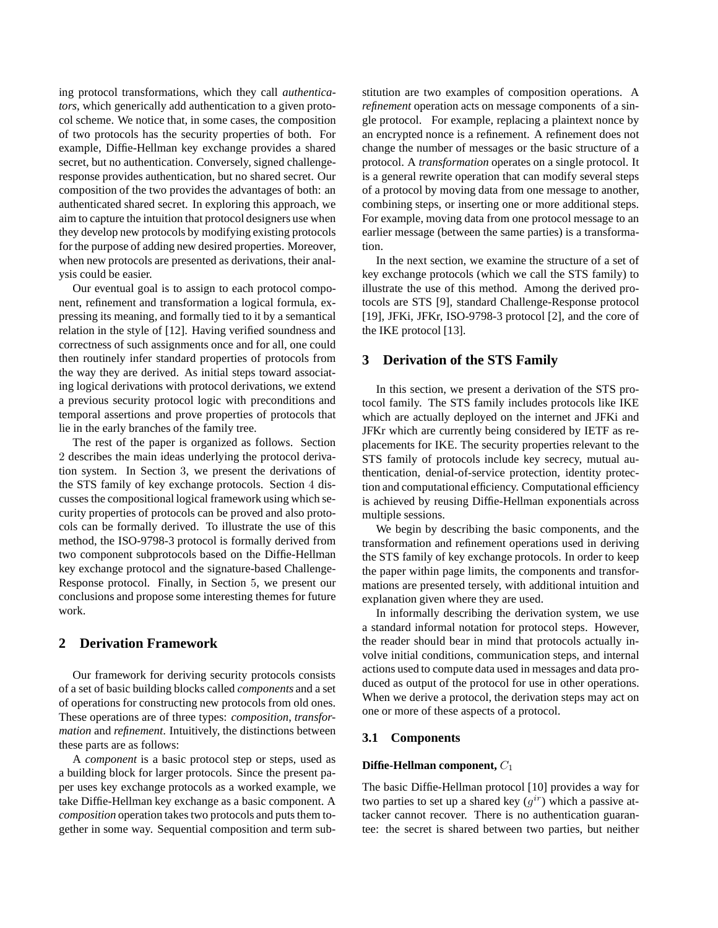ing protocol transformations, which they call *authenticators*, which generically add authentication to a given protocol scheme. We notice that, in some cases, the composition of two protocols has the security properties of both. For example, Diffie-Hellman key exchange provides a shared secret, but no authentication. Conversely, signed challengeresponse provides authentication, but no shared secret. Our composition of the two provides the advantages of both: an authenticated shared secret. In exploring this approach, we aim to capture the intuition that protocol designers use when they develop new protocols by modifying existing protocols for the purpose of adding new desired properties. Moreover, when new protocols are presented as derivations, their analysis could be easier.

Our eventual goal is to assign to each protocol component, refinement and transformation a logical formula, expressing its meaning, and formally tied to it by a semantical relation in the style of [12]. Having verified soundness and correctness of such assignments once and for all, one could then routinely infer standard properties of protocols from the way they are derived. As initial steps toward associating logical derivations with protocol derivations, we extend a previous security protocol logic with preconditions and temporal assertions and prove properties of protocols that lie in the early branches of the family tree.

The rest of the paper is organized as follows. Section 2 describes the main ideas underlying the protocol derivation system. In Section 3, we present the derivations of the STS family of key exchange protocols. Section 4 discusses the compositional logical framework using which security properties of protocols can be proved and also protocols can be formally derived. To illustrate the use of this method, the ISO-9798-3 protocol is formally derived from two component subprotocols based on the Diffie-Hellman key exchange protocol and the signature-based Challenge-Response protocol. Finally, in Section 5, we present our conclusions and propose some interesting themes for future work.

# **2 Derivation Framework**

Our framework for deriving security protocols consists of a set of basic building blocks called *components* and a set of operations for constructing new protocols from old ones. These operations are of three types: *composition*, *transformation* and *refinement*. Intuitively, the distinctions between these parts are as follows:

A *component* is a basic protocol step or steps, used as a building block for larger protocols. Since the present paper uses key exchange protocols as a worked example, we take Diffie-Hellman key exchange as a basic component. A *composition* operation takes two protocols and puts them together in some way. Sequential composition and term substitution are two examples of composition operations. A *refinement* operation acts on message components of a single protocol. For example, replacing a plaintext nonce by an encrypted nonce is a refinement. A refinement does not change the number of messages or the basic structure of a protocol. A *transformation* operates on a single protocol. It is a general rewrite operation that can modify several steps of a protocol by moving data from one message to another, combining steps, or inserting one or more additional steps. For example, moving data from one protocol message to an earlier message (between the same parties) is a transformation.

In the next section, we examine the structure of a set of key exchange protocols (which we call the STS family) to illustrate the use of this method. Among the derived protocols are STS [9], standard Challenge-Response protocol [19], JFKi, JFKr, ISO-9798-3 protocol [2], and the core of the IKE protocol [13].

# **3 Derivation of the STS Family**

In this section, we present a derivation of the STS protocol family. The STS family includes protocols like IKE which are actually deployed on the internet and JFKi and JFKr which are currently being considered by IETF as replacements for IKE. The security properties relevant to the STS family of protocols include key secrecy, mutual authentication, denial-of-service protection, identity protection and computational efficiency. Computational efficiency is achieved by reusing Diffie-Hellman exponentials across multiple sessions.

We begin by describing the basic components, and the transformation and refinement operations used in deriving the STS family of key exchange protocols. In order to keep the paper within page limits, the components and transformations are presented tersely, with additional intuition and explanation given where they are used.

In informally describing the derivation system, we use a standard informal notation for protocol steps. However, the reader should bear in mind that protocols actually involve initial conditions, communication steps, and internal actions used to compute data used in messages and data produced as output of the protocol for use in other operations. When we derive a protocol, the derivation steps may act on one or more of these aspects of a protocol.

## **3.1 Components**

#### **Diffie-Hellman component,**  $C_1$

The basic Diffie-Hellman protocol [10] provides a way for two parties to set up a shared key  $(g^{ir})$  which a passive attacker cannot recover. There is no authentication guarantee: the secret is shared between two parties, but neither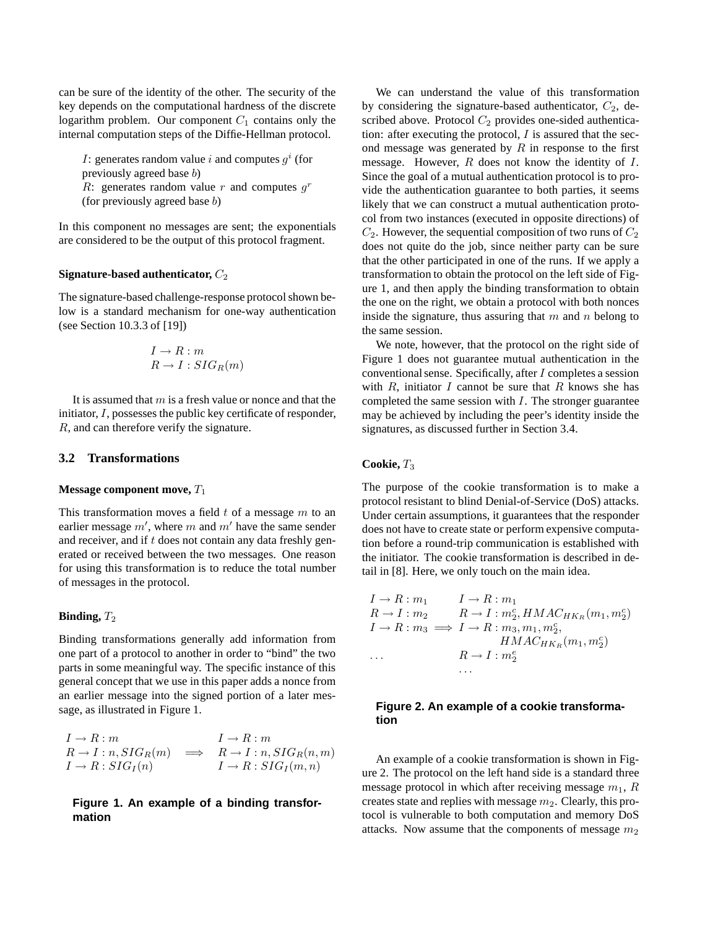can be sure of the identity of the other. The security of the key depends on the computational hardness of the discrete logarithm problem. Our component  $C_1$  contains only the internal computation steps of the Diffie-Hellman protocol.

*I*: generates random value *i* and computes  $g^i$  (for previously agreed base b) R: generates random value  $r$  and computes  $g<sup>r</sup>$ (for previously agreed base b)

In this component no messages are sent; the exponentials are considered to be the output of this protocol fragment.

### **Signature-based authenticator,**  $C_2$

The signature-based challenge-response protocol shown below is a standard mechanism for one-way authentication (see Section 10.3.3 of [19])

$$
I \to R : m
$$
  

$$
R \to I : SIG_R(m)
$$

It is assumed that  $m$  is a fresh value or nonce and that the initiator, I, possesses the public key certificate of responder, R, and can therefore verify the signature.

## **3.2 Transformations**

#### **Message component move,**  $T_1$

This transformation moves a field  $t$  of a message  $m$  to an earlier message  $m'$ , where m and  $m'$  have the same sender and receiver, and if  $t$  does not contain any data freshly generated or received between the two messages. One reason for using this transformation is to reduce the total number of messages in the protocol.

### **Binding,** T<sup>2</sup>

Binding transformations generally add information from one part of a protocol to another in order to "bind" the two parts in some meaningful way. The specific instance of this general concept that we use in this paper adds a nonce from an earlier message into the signed portion of a later message, as illustrated in Figure 1.

 $I \rightarrow R : m$   $I \rightarrow R : m$  $R \rightarrow I : n, SIG_R(m) \implies R \rightarrow I : n, SIG_R(n,m)$ <br>  $I \rightarrow R : SIG_I(n)$   $I \rightarrow R : SIG_I(m,n)$  $I \rightarrow R : SIG_I(m, n)$ 

**Figure 1. An example of a binding transformation**

We can understand the value of this transformation by considering the signature-based authenticator,  $C_2$ , described above. Protocol  $C_2$  provides one-sided authentication: after executing the protocol,  $I$  is assured that the second message was generated by  $R$  in response to the first message. However, R does not know the identity of I. Since the goal of a mutual authentication protocol is to provide the authentication guarantee to both parties, it seems likely that we can construct a mutual authentication protocol from two instances (executed in opposite directions) of  $C_2$ . However, the sequential composition of two runs of  $C_2$ does not quite do the job, since neither party can be sure that the other participated in one of the runs. If we apply a transformation to obtain the protocol on the left side of Figure 1, and then apply the binding transformation to obtain the one on the right, we obtain a protocol with both nonces inside the signature, thus assuring that  $m$  and  $n$  belong to the same session.

We note, however, that the protocol on the right side of Figure 1 does not guarantee mutual authentication in the conventional sense. Specifically, after I completes a session with  $R$ , initiator  $I$  cannot be sure that  $R$  knows she has completed the same session with  $I$ . The stronger guarantee may be achieved by including the peer's identity inside the signatures, as discussed further in Section 3.4.

## **Cookie,** T<sup>3</sup>

The purpose of the cookie transformation is to make a protocol resistant to blind Denial-of-Service (DoS) attacks. Under certain assumptions, it guarantees that the responder does not have to create state or perform expensive computation before a round-trip communication is established with the initiator. The cookie transformation is described in detail in [8]. Here, we only touch on the main idea.

$$
I \rightarrow R : m_1 \qquad I \rightarrow R : m_1
$$
  
\n
$$
R \rightarrow I : m_2 \qquad R \rightarrow I : m_2^c, HMAC_{HK_R}(m_1, m_2^c)
$$
  
\n
$$
I \rightarrow R : m_3 \implies I \rightarrow R : m_3, m_1, m_2^c,
$$
  
\n
$$
HMAC_{HK_R}(m_1, m_2^c)
$$
  
\n...  
\n
$$
R \rightarrow I : m_2^e
$$
  
\n...

# **Figure 2. An example of a cookie transformation**

An example of a cookie transformation is shown in Figure 2. The protocol on the left hand side is a standard three message protocol in which after receiving message  $m_1$ , R creates state and replies with message  $m<sub>2</sub>$ . Clearly, this protocol is vulnerable to both computation and memory DoS attacks. Now assume that the components of message  $m_2$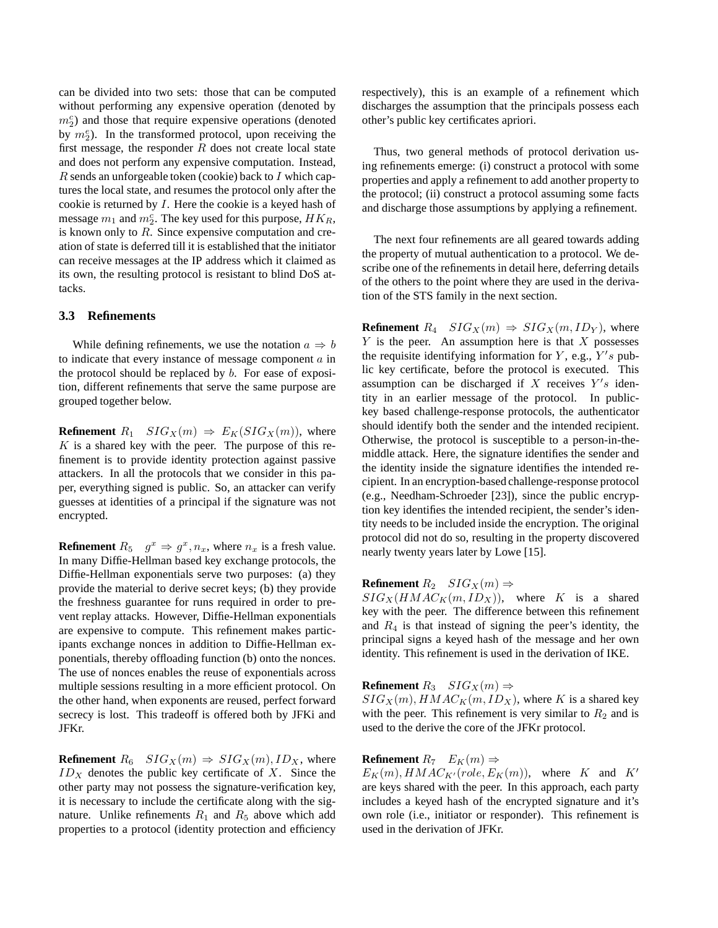can be divided into two sets: those that can be computed without performing any expensive operation (denoted by  $m_2^c$ ) and those that require expensive operations (denoted by  $m_2^e$ ). In the transformed protocol, upon receiving the first message, the responder  $R$  does not create local state and does not perform any expensive computation. Instead,  $R$  sends an unforgeable token (cookie) back to  $I$  which captures the local state, and resumes the protocol only after the cookie is returned by I. Here the cookie is a keyed hash of message  $m_1$  and  $m_2^c$ . The key used for this purpose,  $HK_R$ , is known only to  $R$ . Since expensive computation and creation of state is deferred till it is established that the initiator can receive messages at the IP address which it claimed as its own, the resulting protocol is resistant to blind DoS attacks.

# **3.3 Refinements**

While defining refinements, we use the notation  $a \Rightarrow b$ to indicate that every instance of message component  $a$  in the protocol should be replaced by  $b$ . For ease of exposition, different refinements that serve the same purpose are grouped together below.

**Refinement**  $R_1$   $SIG_X(m) \Rightarrow E_K(SIG_X(m))$ , where  $K$  is a shared key with the peer. The purpose of this refinement is to provide identity protection against passive attackers. In all the protocols that we consider in this paper, everything signed is public. So, an attacker can verify guesses at identities of a principal if the signature was not encrypted.

**Refinement**  $R_5$   $g^x \Rightarrow g^x, n_x$ , where  $n_x$  is a fresh value. In many Diffie-Hellman based key exchange protocols, the Diffie-Hellman exponentials serve two purposes: (a) they provide the material to derive secret keys; (b) they provide the freshness guarantee for runs required in order to prevent replay attacks. However, Diffie-Hellman exponentials are expensive to compute. This refinement makes participants exchange nonces in addition to Diffie-Hellman exponentials, thereby offloading function (b) onto the nonces. The use of nonces enables the reuse of exponentials across multiple sessions resulting in a more efficient protocol. On the other hand, when exponents are reused, perfect forward secrecy is lost. This tradeoff is offered both by JFKi and JFKr.

**Refinement**  $R_6$   $SIG_X(m) \Rightarrow SIG_X(m), ID_X$ , where  $ID<sub>X</sub>$  denotes the public key certificate of X. Since the other party may not possess the signature-verification key, it is necessary to include the certificate along with the signature. Unlike refinements  $R_1$  and  $R_5$  above which add properties to a protocol (identity protection and efficiency respectively), this is an example of a refinement which discharges the assumption that the principals possess each other's public key certificates apriori.

Thus, two general methods of protocol derivation using refinements emerge: (i) construct a protocol with some properties and apply a refinement to add another property to the protocol; (ii) construct a protocol assuming some facts and discharge those assumptions by applying a refinement.

The next four refinements are all geared towards adding the property of mutual authentication to a protocol. We describe one of the refinements in detail here, deferring details of the others to the point where they are used in the derivation of the STS family in the next section.

**Refinement**  $R_4$   $SIG_X(m) \Rightarrow SIG_X(m, ID_Y)$ , where  $Y$  is the peer. An assumption here is that  $X$  possesses the requisite identifying information for  $Y$ , e.g.,  $Y's$  public key certificate, before the protocol is executed. This assumption can be discharged if  $X$  receives  $Y's$  identity in an earlier message of the protocol. In publickey based challenge-response protocols, the authenticator should identify both the sender and the intended recipient. Otherwise, the protocol is susceptible to a person-in-themiddle attack. Here, the signature identifies the sender and the identity inside the signature identifies the intended recipient. In an encryption-based challenge-response protocol (e.g., Needham-Schroeder [23]), since the public encryption key identifies the intended recipient, the sender's identity needs to be included inside the encryption. The original protocol did not do so, resulting in the property discovered nearly twenty years later by Lowe [15].

#### **Refinement**  $R_2$   $SIG_X(m) \Rightarrow$

 $SIG_X(HMAC_K(m, ID_X))$ , where K is a shared key with the peer. The difference between this refinement and  $R_4$  is that instead of signing the peer's identity, the principal signs a keyed hash of the message and her own identity. This refinement is used in the derivation of IKE.

# **Refinement**  $R_3$   $SIG_X(m) \Rightarrow$

 $SIG_X(m)$ ,  $HMAC_K(m, ID_X)$ , where K is a shared key with the peer. This refinement is very similar to  $R_2$  and is used to the derive the core of the JFKr protocol.

### **Refinement**  $R_7$   $E_K(m) \Rightarrow$

 $E_K(m)$ ,  $HMAC_{K'}(role, E_K(m))$ , where K and K' are keys shared with the peer. In this approach, each party includes a keyed hash of the encrypted signature and it's own role (i.e., initiator or responder). This refinement is used in the derivation of JFKr.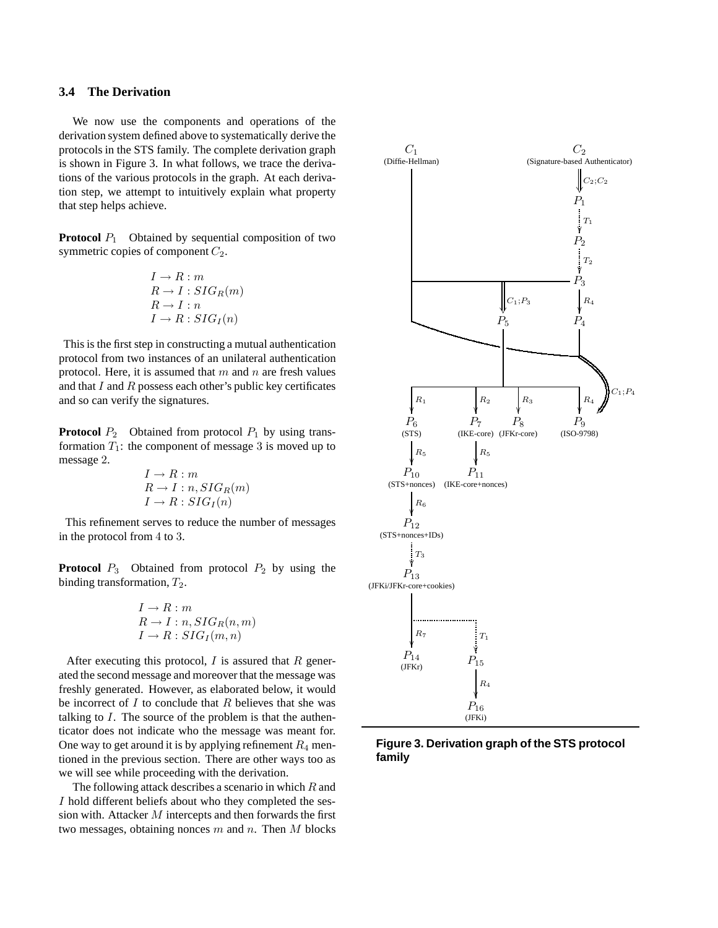## **3.4 The Derivation**

We now use the components and operations of the derivation system defined above to systematically derive the protocols in the STS family. The complete derivation graph is shown in Figure 3. In what follows, we trace the derivations of the various protocols in the graph. At each derivation step, we attempt to intuitively explain what property that step helps achieve.

**Protocol**  $P_1$  Obtained by sequential composition of two symmetric copies of component  $C_2$ .

$$
I \rightarrow R : m
$$
  
\n
$$
R \rightarrow I : SIG_R(m)
$$
  
\n
$$
R \rightarrow I : n
$$
  
\n
$$
I \rightarrow R : SIG_I(n)
$$

This is the first step in constructing a mutual authentication protocol from two instances of an unilateral authentication protocol. Here, it is assumed that  $m$  and  $n$  are fresh values and that  $I$  and  $R$  possess each other's public key certificates and so can verify the signatures.

**Protocol**  $P_2$  Obtained from protocol  $P_1$  by using transformation  $T_1$ : the component of message 3 is moved up to message 2.

$$
I \rightarrow R : m
$$
  

$$
R \rightarrow I : n, SIG_R(m)
$$
  

$$
I \rightarrow R : SIG_I(n)
$$

This refinement serves to reduce the number of messages in the protocol from 4 to 3.

**Protocol**  $P_3$  Obtained from protocol  $P_2$  by using the binding transformation,  $T_2$ .

$$
I \rightarrow R : m
$$
  
\n
$$
R \rightarrow I : n, SIG_R(n, m)
$$
  
\n
$$
I \rightarrow R : SIG_I(m, n)
$$

After executing this protocol,  $I$  is assured that  $R$  generated the second message and moreover that the message was freshly generated. However, as elaborated below, it would be incorrect of  $I$  to conclude that  $R$  believes that she was talking to I. The source of the problem is that the authenticator does not indicate who the message was meant for. One way to get around it is by applying refinement  $R_4$  mentioned in the previous section. There are other ways too as we will see while proceeding with the derivation.

The following attack describes a scenario in which  $R$  and I hold different beliefs about who they completed the session with. Attacker M intercepts and then forwards the first two messages, obtaining nonces  $m$  and  $n$ . Then  $M$  blocks



# **Figure 3. Derivation graph of the STS protocol family**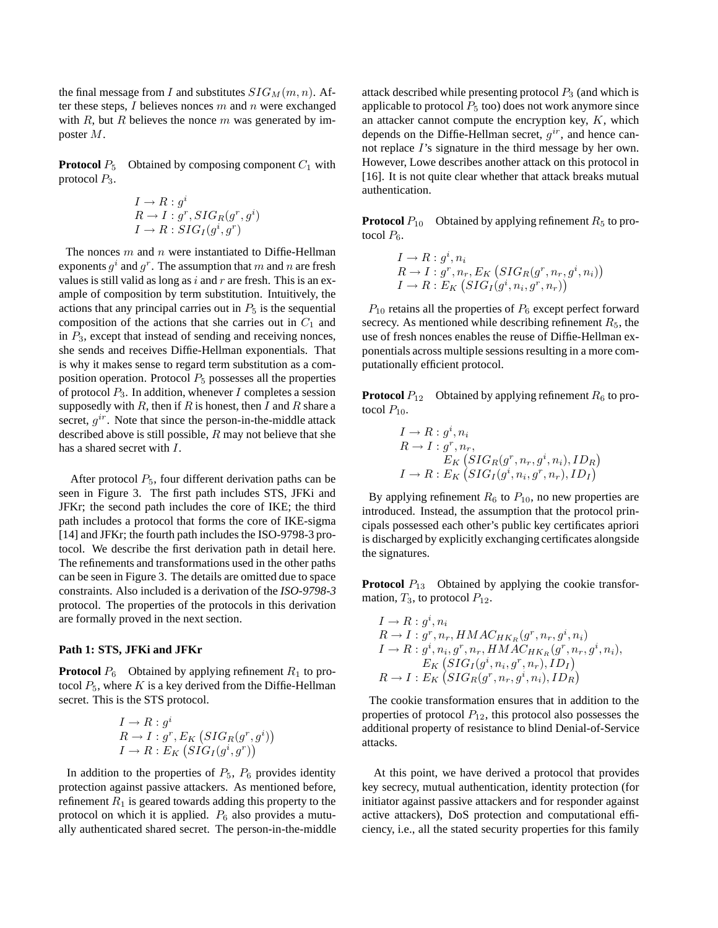the final message from I and substitutes  $SIG<sub>M</sub>(m, n)$ . After these steps,  $I$  believes nonces  $m$  and  $n$  were exchanged with R, but R believes the nonce m was generated by imposter M.

**Protocol**  $P_5$  Obtained by composing component  $C_1$  with protocol  $P_3$ .

$$
I \to R : g^i
$$
  
\n
$$
R \to I : g^r, SIG_R(g^r, g^i)
$$
  
\n
$$
I \to R : SIG_I(g^i, g^r)
$$

The nonces  $m$  and  $n$  were instantiated to Diffie-Hellman exponents  $g^i$  and  $g^r$ . The assumption that m and n are fresh values is still valid as long as  $i$  and  $r$  are fresh. This is an example of composition by term substitution. Intuitively, the actions that any principal carries out in  $P_5$  is the sequential composition of the actions that she carries out in  $C_1$  and in  $P_3$ , except that instead of sending and receiving nonces, she sends and receives Diffie-Hellman exponentials. That is why it makes sense to regard term substitution as a composition operation. Protocol  $P_5$  possesses all the properties of protocol  $P_3$ . In addition, whenever I completes a session supposedly with  $R$ , then if  $R$  is honest, then  $I$  and  $R$  share a secret,  $g^{ir}$ . Note that since the person-in-the-middle attack described above is still possible,  $R$  may not believe that she has a shared secret with I.

After protocol  $P_5$ , four different derivation paths can be seen in Figure 3. The first path includes STS, JFKi and JFKr; the second path includes the core of IKE; the third path includes a protocol that forms the core of IKE-sigma [14] and JFKr; the fourth path includes the ISO-9798-3 protocol. We describe the first derivation path in detail here. The refinements and transformations used in the other paths can be seen in Figure 3. The details are omitted due to space constraints. Also included is a derivation of the *ISO-9798-3* protocol. The properties of the protocols in this derivation are formally proved in the next section.

### **Path 1: STS, JFKi and JFKr**

**Protocol**  $P_6$  Obtained by applying refinement  $R_1$  to protocol  $P_5$ , where K is a key derived from the Diffie-Hellman secret. This is the STS protocol.

$$
I \to R : g^i
$$
  
\n
$$
R \to I : g^r, E_K \left( SIG_R(g^r, g^i) \right)
$$
  
\n
$$
I \to R : E_K \left( SIG_I(g^i, g^r) \right)
$$

In addition to the properties of  $P_5$ ,  $P_6$  provides identity protection against passive attackers. As mentioned before, refinement  $R_1$  is geared towards adding this property to the protocol on which it is applied.  $P_6$  also provides a mutually authenticated shared secret. The person-in-the-middle attack described while presenting protocol  $P_3$  (and which is applicable to protocol  $P_5$  too) does not work anymore since an attacker cannot compute the encryption key,  $K$ , which depends on the Diffie-Hellman secret,  $g^{ir}$ , and hence cannot replace I's signature in the third message by her own. However, Lowe describes another attack on this protocol in [16]. It is not quite clear whether that attack breaks mutual authentication.

**Protocol**  $P_{10}$  Obtained by applying refinement  $R_5$  to protocol  $P_6$ .

$$
I \to R : g^i, n_i
$$
  
\n
$$
R \to I : g^r, n_r, E_K \left( SIG_R(g^r, n_r, g^i, n_i) \right)
$$
  
\n
$$
I \to R : E_K \left( SIG_I(g^i, n_i, g^r, n_r) \right)
$$

 $P_{10}$  retains all the properties of  $P_6$  except perfect forward secrecy. As mentioned while describing refinement  $R_5$ , the use of fresh nonces enables the reuse of Diffie-Hellman exponentials across multiple sessions resulting in a more computationally efficient protocol.

**Protocol**  $P_{12}$  Obtained by applying refinement  $R_6$  to protocol  $P_{10}$ .

$$
I \to R : g^i, n_i
$$
  
\n
$$
R \to I : g^r, n_r,
$$
  
\n
$$
E_K \left( SIG_R(g^r, n_r, g^i, n_i), ID_R \right)
$$
  
\n
$$
I \to R : E_K \left( SIG_I(g^i, n_i, g^r, n_r), ID_I \right)
$$

By applying refinement  $R_6$  to  $P_{10}$ , no new properties are introduced. Instead, the assumption that the protocol principals possessed each other's public key certificates apriori is discharged by explicitly exchanging certificates alongside the signatures.

**Protocol**  $P_{13}$  Obtained by applying the cookie transformation,  $T_3$ , to protocol  $P_{12}$ .

$$
I \to R : g^{i}, n_{i}
$$
  
\n
$$
R \to I : g^{r}, n_{r}, HMAC_{HK_{R}}(g^{r}, n_{r}, g^{i}, n_{i})
$$
  
\n
$$
I \to R : g^{i}, n_{i}, g^{r}, n_{r}, HMAC_{HK_{R}}(g^{r}, n_{r}, g^{i}, n_{i}),
$$
  
\n
$$
E_{K} (SIG_{I}(g^{i}, n_{i}, g^{r}, n_{r}), ID_{I})
$$
  
\n
$$
R \to I : E_{K} (SIG_{R}(g^{r}, n_{r}, g^{i}, n_{i}), ID_{R})
$$

The cookie transformation ensures that in addition to the properties of protocol  $P_{12}$ , this protocol also possesses the additional property of resistance to blind Denial-of-Service attacks.

At this point, we have derived a protocol that provides key secrecy, mutual authentication, identity protection (for initiator against passive attackers and for responder against active attackers), DoS protection and computational efficiency, i.e., all the stated security properties for this family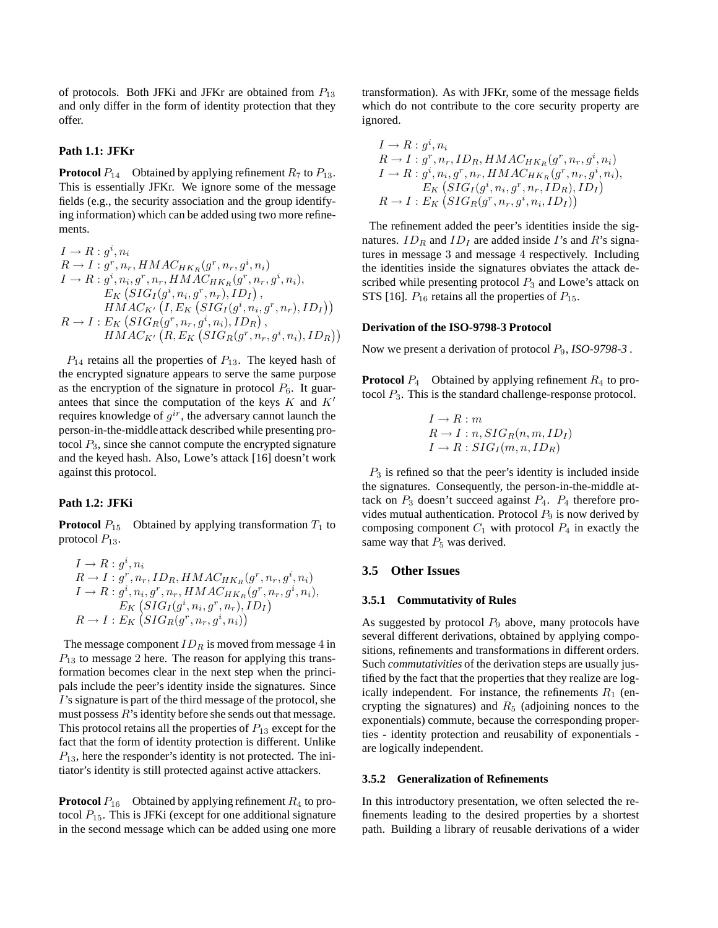of protocols. Both JFKi and JFKr are obtained from  $P_{13}$ and only differ in the form of identity protection that they offer.

## **Path 1.1: JFKr**

**Protocol**  $P_{14}$  Obtained by applying refinement  $R_7$  to  $P_{13}$ . This is essentially JFKr. We ignore some of the message fields (e.g., the security association and the group identifying information) which can be added using two more refinements.

$$
I \to R : g^{i}, n_{i}
$$
  
\n
$$
R \to I : g^{r}, n_{r}, HMAC_{HK_{R}}(g^{r}, n_{r}, g^{i}, n_{i})
$$
  
\n
$$
I \to R : g^{i}, n_{i}, g^{r}, n_{r}, HMAC_{HK_{R}}(g^{r}, n_{r}, g^{i}, n_{i}),
$$
  
\n
$$
E_{K} (SIG_{I}(g^{i}, n_{i}, g^{r}, n_{r}), ID_{I}),
$$
  
\n
$$
HMAC_{K'} (I, E_{K} (SIG_{I}(g^{i}, n_{i}, g^{r}, n_{r}), ID_{I}))
$$
  
\n
$$
R \to I : E_{K} (SIG_{R}(g^{r}, n_{r}, g^{i}, n_{i}), ID_{R}),
$$
  
\n
$$
HMAC_{K'} (R, E_{K} (SIG_{R}(g^{r}, n_{r}, g^{i}, n_{i}), ID_{R}))
$$

 $P_{14}$  retains all the properties of  $P_{13}$ . The keyed hash of the encrypted signature appears to serve the same purpose as the encryption of the signature in protocol  $P_6$ . It guarantees that since the computation of the keys  $K$  and  $K'$ requires knowledge of  $g^{ir}$ , the adversary cannot launch the person-in-the-middle attack described while presenting protocol  $P_3$ , since she cannot compute the encrypted signature and the keyed hash. Also, Lowe's attack [16] doesn't work against this protocol.

## **Path 1.2: JFKi**

**Protocol**  $P_{15}$  Obtained by applying transformation  $T_1$  to protocol  $P_{13}$ .

$$
I \rightarrow R: g^i, n_i
$$
  
\n
$$
R \rightarrow I: g^r, n_r, ID_R, HMAC_{HK_R}(g^r, n_r, g^i, n_i)
$$
  
\n
$$
I \rightarrow R: g^i, n_i, g^r, n_r, HMAC_{HK_R}(g^r, n_r, g^i, n_i),
$$
  
\n
$$
E_K(SIG_T(g^i, n_i, g^r, n_r), ID_I)
$$
  
\n
$$
R \rightarrow I: E_K(SIG_R(g^r, n_r, g^i, n_i))
$$

The message component  $ID_R$  is moved from message 4 in  $P_{13}$  to message 2 here. The reason for applying this transformation becomes clear in the next step when the principals include the peer's identity inside the signatures. Since I's signature is part of the third message of the protocol, she must possess  $R$ 's identity before she sends out that message. This protocol retains all the properties of  $P_{13}$  except for the fact that the form of identity protection is different. Unlike  $P_{13}$ , here the responder's identity is not protected. The initiator's identity is still protected against active attackers.

**Protocol**  $P_{16}$  Obtained by applying refinement  $R_4$  to protocol  $P_{15}$ . This is JFKi (except for one additional signature in the second message which can be added using one more transformation). As with JFKr, some of the message fields which do not contribute to the core security property are ignored.

$$
I \to R: g^{i}, n_{i}
$$
  
\n
$$
R \to I: g^{r}, n_{r}, ID_{R}, HMAC_{HK_{R}}(g^{r}, n_{r}, g^{i}, n_{i})
$$
  
\n
$$
I \to R: g^{i}, n_{i}, g^{r}, n_{r}, HMAC_{HK_{R}}(g^{r}, n_{r}, g^{i}, n_{i}),
$$
  
\n
$$
E_{K} (SIG_{I}(g^{i}, n_{i}, g^{r}, n_{r}, ID_{R}), ID_{I})
$$
  
\n
$$
R \to I: E_{K} (SIG_{R}(g^{r}, n_{r}, g^{i}, n_{i}, ID_{I}))
$$

The refinement added the peer's identities inside the signatures.  $ID_R$  and  $ID_I$  are added inside I's and R's signatures in message 3 and message 4 respectively. Including the identities inside the signatures obviates the attack described while presenting protocol  $P_3$  and Lowe's attack on STS [16].  $P_{16}$  retains all the properties of  $P_{15}$ .

#### **Derivation of the ISO-9798-3 Protocol**

Now we present a derivation of protocol P9, *ISO-9798-3* .

**Protocol**  $P_4$  Obtained by applying refinement  $R_4$  to protocol  $P_3$ . This is the standard challenge-response protocol.

$$
I \rightarrow R : m
$$
  
\n
$$
R \rightarrow I : n, SIG_R(n, m, ID_I)
$$
  
\n
$$
I \rightarrow R : SIG_I(m, n, ID_R)
$$

 $P_3$  is refined so that the peer's identity is included inside the signatures. Consequently, the person-in-the-middle attack on  $P_3$  doesn't succeed against  $P_4$ .  $P_4$  therefore provides mutual authentication. Protocol  $P_9$  is now derived by composing component  $C_1$  with protocol  $P_4$  in exactly the same way that  $P_5$  was derived.

### **3.5 Other Issues**

#### **3.5.1 Commutativity of Rules**

As suggested by protocol  $P_9$  above, many protocols have several different derivations, obtained by applying compositions, refinements and transformations in different orders. Such *commutativities* of the derivation steps are usually justified by the fact that the properties that they realize are logically independent. For instance, the refinements  $R_1$  (encrypting the signatures) and  $R_5$  (adjoining nonces to the exponentials) commute, because the corresponding properties - identity protection and reusability of exponentials are logically independent.

#### **3.5.2 Generalization of Refinements**

In this introductory presentation, we often selected the refinements leading to the desired properties by a shortest path. Building a library of reusable derivations of a wider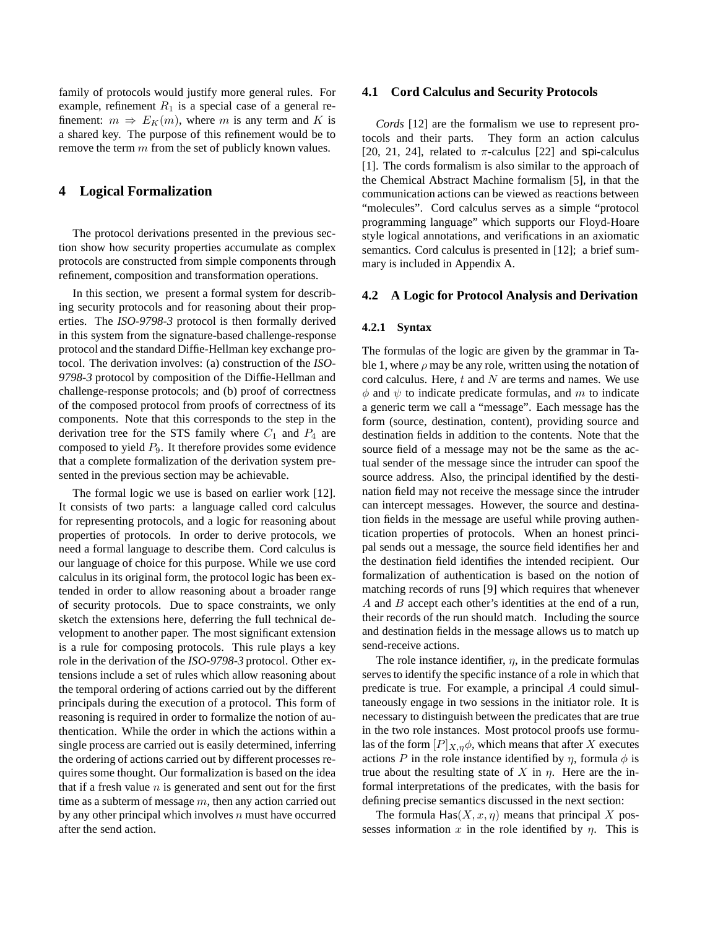family of protocols would justify more general rules. For example, refinement  $R_1$  is a special case of a general refinement:  $m \Rightarrow E_K(m)$ , where m is any term and K is a shared key. The purpose of this refinement would be to remove the term m from the set of publicly known values.

# **4 Logical Formalization**

The protocol derivations presented in the previous section show how security properties accumulate as complex protocols are constructed from simple components through refinement, composition and transformation operations.

In this section, we present a formal system for describing security protocols and for reasoning about their properties. The *ISO-9798-3* protocol is then formally derived in this system from the signature-based challenge-response protocol and the standard Diffie-Hellman key exchange protocol. The derivation involves: (a) construction of the *ISO-9798-3* protocol by composition of the Diffie-Hellman and challenge-response protocols; and (b) proof of correctness of the composed protocol from proofs of correctness of its components. Note that this corresponds to the step in the derivation tree for the STS family where  $C_1$  and  $P_4$  are composed to yield  $P_9$ . It therefore provides some evidence that a complete formalization of the derivation system presented in the previous section may be achievable.

The formal logic we use is based on earlier work [12]. It consists of two parts: a language called cord calculus for representing protocols, and a logic for reasoning about properties of protocols. In order to derive protocols, we need a formal language to describe them. Cord calculus is our language of choice for this purpose. While we use cord calculus in its original form, the protocol logic has been extended in order to allow reasoning about a broader range of security protocols. Due to space constraints, we only sketch the extensions here, deferring the full technical development to another paper. The most significant extension is a rule for composing protocols. This rule plays a key role in the derivation of the *ISO-9798-3* protocol. Other extensions include a set of rules which allow reasoning about the temporal ordering of actions carried out by the different principals during the execution of a protocol. This form of reasoning is required in order to formalize the notion of authentication. While the order in which the actions within a single process are carried out is easily determined, inferring the ordering of actions carried out by different processes requires some thought. Our formalization is based on the idea that if a fresh value  $n$  is generated and sent out for the first time as a subterm of message  $m$ , then any action carried out by any other principal which involves  $n$  must have occurred after the send action.

#### **4.1 Cord Calculus and Security Protocols**

*Cords* [12] are the formalism we use to represent protocols and their parts. They form an action calculus [20, 21, 24], related to  $\pi$ -calculus [22] and spi-calculus [1]. The cords formalism is also similar to the approach of the Chemical Abstract Machine formalism [5], in that the communication actions can be viewed as reactions between "molecules". Cord calculus serves as a simple "protocol programming language" which supports our Floyd-Hoare style logical annotations, and verifications in an axiomatic semantics. Cord calculus is presented in [12]; a brief summary is included in Appendix A.

#### **4.2 A Logic for Protocol Analysis and Derivation**

#### **4.2.1 Syntax**

The formulas of the logic are given by the grammar in Table 1, where  $\rho$  may be any role, written using the notation of cord calculus. Here,  $t$  and  $N$  are terms and names. We use  $\phi$  and  $\psi$  to indicate predicate formulas, and m to indicate a generic term we call a "message". Each message has the form (source, destination, content), providing source and destination fields in addition to the contents. Note that the source field of a message may not be the same as the actual sender of the message since the intruder can spoof the source address. Also, the principal identified by the destination field may not receive the message since the intruder can intercept messages. However, the source and destination fields in the message are useful while proving authentication properties of protocols. When an honest principal sends out a message, the source field identifies her and the destination field identifies the intended recipient. Our formalization of authentication is based on the notion of matching records of runs [9] which requires that whenever A and B accept each other's identities at the end of a run, their records of the run should match. Including the source and destination fields in the message allows us to match up send-receive actions.

The role instance identifier,  $\eta$ , in the predicate formulas serves to identify the specific instance of a role in which that predicate is true. For example, a principal A could simultaneously engage in two sessions in the initiator role. It is necessary to distinguish between the predicates that are true in the two role instances. Most protocol proofs use formulas of the form  $[P]_{X,\eta}\phi$ , which means that after X executes actions P in the role instance identified by  $\eta$ , formula  $\phi$  is true about the resulting state of X in  $\eta$ . Here are the informal interpretations of the predicates, with the basis for defining precise semantics discussed in the next section:

The formula  $\text{Has}(X, x, \eta)$  means that principal X possesses information x in the role identified by  $\eta$ . This is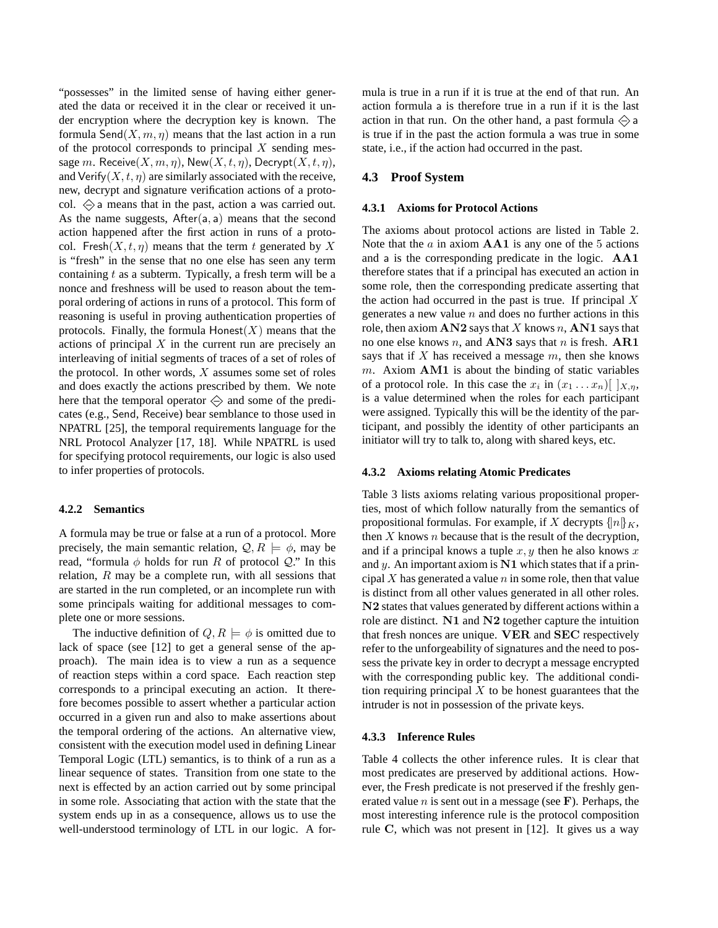"possesses" in the limited sense of having either generated the data or received it in the clear or received it under encryption where the decryption key is known. The formula Send $(X, m, \eta)$  means that the last action in a run of the protocol corresponds to principal  $X$  sending message m. Receive $(X, m, \eta)$ , New $(X, t, \eta)$ , Decrypt $(X, t, \eta)$ , and Verify $(X, t, \eta)$  are similarly associated with the receive, new, decrypt and signature verification actions of a protocol.  $\Leftrightarrow$  a means that in the past, action a was carried out. As the name suggests,  $After(a, a)$  means that the second action happened after the first action in runs of a protocol. Fresh $(X, t, \eta)$  means that the term t generated by X is "fresh" in the sense that no one else has seen any term containing  $t$  as a subterm. Typically, a fresh term will be a nonce and freshness will be used to reason about the temporal ordering of actions in runs of a protocol. This form of reasoning is useful in proving authentication properties of protocols. Finally, the formula  $H$ onest $(X)$  means that the actions of principal  $X$  in the current run are precisely an interleaving of initial segments of traces of a set of roles of the protocol. In other words,  $X$  assumes some set of roles and does exactly the actions prescribed by them. We note here that the temporal operator  $\Diamond$  and some of the predicates (e.g., Send, Receive) bear semblance to those used in NPATRL [25], the temporal requirements language for the NRL Protocol Analyzer [17, 18]. While NPATRL is used for specifying protocol requirements, our logic is also used to infer properties of protocols.

### **4.2.2 Semantics**

A formula may be true or false at a run of a protocol. More precisely, the main semantic relation,  $\mathcal{Q}, R \models \phi$ , may be read, "formula  $\phi$  holds for run R of protocol  $\mathcal{Q}$ ." In this relation,  $R$  may be a complete run, with all sessions that are started in the run completed, or an incomplete run with some principals waiting for additional messages to complete one or more sessions.

The inductive definition of  $Q, R \models \phi$  is omitted due to lack of space (see [12] to get a general sense of the approach). The main idea is to view a run as a sequence of reaction steps within a cord space. Each reaction step corresponds to a principal executing an action. It therefore becomes possible to assert whether a particular action occurred in a given run and also to make assertions about the temporal ordering of the actions. An alternative view, consistent with the execution model used in defining Linear Temporal Logic (LTL) semantics, is to think of a run as a linear sequence of states. Transition from one state to the next is effected by an action carried out by some principal in some role. Associating that action with the state that the system ends up in as a consequence, allows us to use the well-understood terminology of LTL in our logic. A formula is true in a run if it is true at the end of that run. An action formula a is therefore true in a run if it is the last action in that run. On the other hand, a past formula  $\Leftrightarrow$  a is true if in the past the action formula a was true in some state, i.e., if the action had occurred in the past.

### **4.3 Proof System**

#### **4.3.1 Axioms for Protocol Actions**

The axioms about protocol actions are listed in Table 2. Note that the  $\alpha$  in axiom  $\bf{A41}$  is any one of the 5 actions and a is the corresponding predicate in the logic. AA1 therefore states that if a principal has executed an action in some role, then the corresponding predicate asserting that the action had occurred in the past is true. If principal  $X$ generates a new value  $n$  and does no further actions in this role, then axiom  $AN2$  says that X knows n,  $AN1$  says that no one else knows n, and  $AN3$  says that n is fresh.  $AR1$ says that if  $X$  has received a message  $m$ , then she knows m. Axiom  $AM1$  is about the binding of static variables of a protocol role. In this case the  $x_i$  in  $(x_1 \ldots x_n)$   $]_{X,\eta}$ , is a value determined when the roles for each participant were assigned. Typically this will be the identity of the participant, and possibly the identity of other participants an initiator will try to talk to, along with shared keys, etc.

#### **4.3.2 Axioms relating Atomic Predicates**

Table 3 lists axioms relating various propositional properties, most of which follow naturally from the semantics of propositional formulas. For example, if X decrypts  $\{n\}_K$ , then  $X$  knows  $n$  because that is the result of the decryption, and if a principal knows a tuple  $x, y$  then he also knows x and  $y$ . An important axiom is  $N1$  which states that if a principal  $X$  has generated a value  $n$  in some role, then that value is distinct from all other values generated in all other roles. N2 states that values generated by different actions within a role are distinct. N1 and N2 together capture the intuition that fresh nonces are unique. VER and SEC respectively refer to the unforgeability of signatures and the need to possess the private key in order to decrypt a message encrypted with the corresponding public key. The additional condition requiring principal  $X$  to be honest guarantees that the intruder is not in possession of the private keys.

#### **4.3.3 Inference Rules**

Table 4 collects the other inference rules. It is clear that most predicates are preserved by additional actions. However, the Fresh predicate is not preserved if the freshly generated value  $n$  is sent out in a message (see F). Perhaps, the most interesting inference rule is the protocol composition rule C, which was not present in [12]. It gives us a way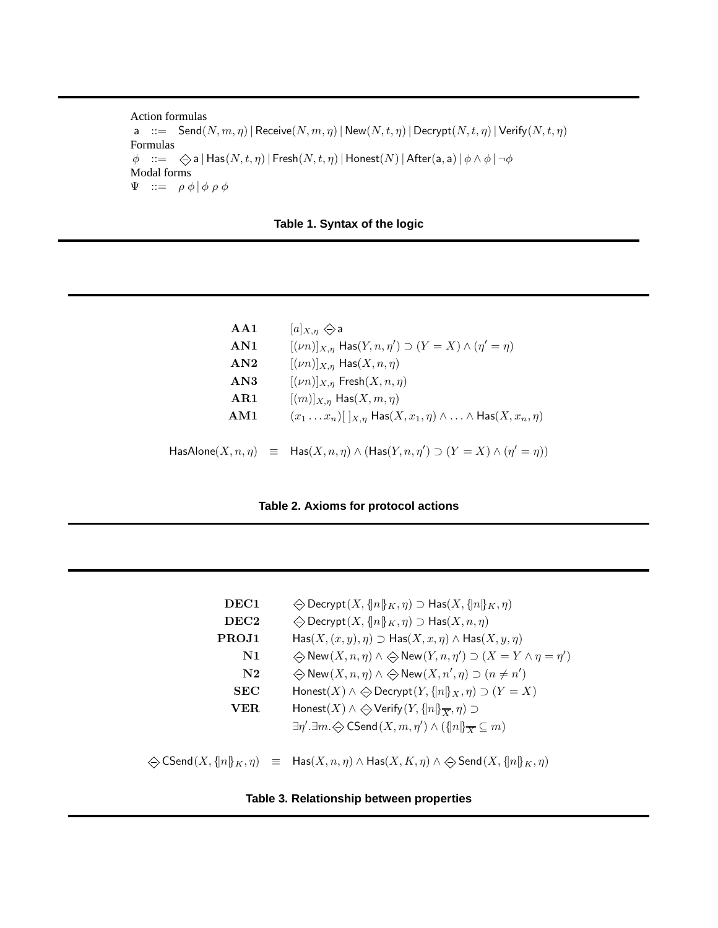Action formulas a  $::=$  Send $(N, m, \eta)$  | Receive $(N, m, \eta)$  | New $(N, t, \eta)$  | Decrypt $(N, t, \eta)$  | Verify $(N, t, \eta)$ Formulas  $\phi$  ::=  $\Leftrightarrow$  a | Has $(N, t, \eta)$  | Fresh $(N, t, \eta)$  | Honest $(N)$  | After $(a, a)$  |  $\phi \wedge \phi$  |  $\neg \phi$ Modal forms  $\Psi$  ::=  $\rho \phi | \phi \rho \phi$ 



| $\bf AA1$ | $[a]_{X,n} \diamondsuit$ a                                                                                                       |
|-----------|----------------------------------------------------------------------------------------------------------------------------------|
| AN1       | $[(\nu n)]_{X,n}$ Has $(Y, n, \eta') \supset (Y = X) \wedge (\eta' = \eta)$                                                      |
| AN2       | $[(\nu n)]_{X,n}$ Has $(X, n, \eta)$                                                                                             |
| AN3       | $[(\nu n)]_{X,n}$ Fresh $(X, n, \eta)$                                                                                           |
| AR1       | $[(m)]_{X,\eta}$ Has $(X,m,\eta)$                                                                                                |
| AM1       | $(x_1 \ldots x_n)[x_n]$ Has $(X, x_1, \eta) \wedge \ldots \wedge$ Has $(X, x_n, \eta)$                                           |
|           |                                                                                                                                  |
|           | $\mathsf{HasAlone}(X,n,\eta) \equiv \mathsf{Has}(X,n,\eta) \land (\mathsf{Has}(Y,n,\eta') \supset (Y = X) \land (\eta' = \eta))$ |

# **Table 2. Axioms for protocol actions**

| $\Leftrightarrow$ New $(X, n, \eta) \wedge \Leftrightarrow$ New $(Y, n, \eta') \supset (X = Y \wedge \eta = \eta')$ |
|---------------------------------------------------------------------------------------------------------------------|
|                                                                                                                     |
|                                                                                                                     |
|                                                                                                                     |
|                                                                                                                     |
|                                                                                                                     |
|                                                                                                                     |
|                                                                                                                     |

# **Table 3. Relationship between properties**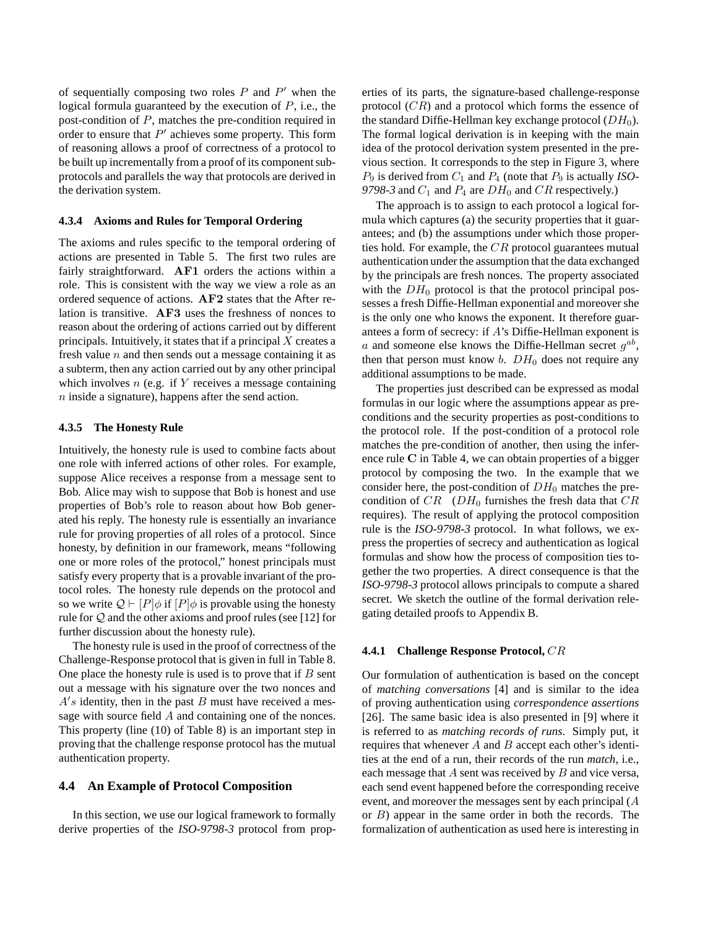of sequentially composing two roles  $P$  and  $P'$  when the logical formula guaranteed by the execution of  $P$ , i.e., the post-condition of P, matches the pre-condition required in order to ensure that  $P'$  achieves some property. This form of reasoning allows a proof of correctness of a protocol to be built up incrementally from a proof of its component subprotocols and parallels the way that protocols are derived in the derivation system.

#### **4.3.4 Axioms and Rules for Temporal Ordering**

The axioms and rules specific to the temporal ordering of actions are presented in Table 5. The first two rules are fairly straightforward. AF1 orders the actions within a role. This is consistent with the way we view a role as an ordered sequence of actions. AF2 states that the After relation is transitive. AF3 uses the freshness of nonces to reason about the ordering of actions carried out by different principals. Intuitively, it states that if a principal  $X$  creates a fresh value  $n$  and then sends out a message containing it as a subterm, then any action carried out by any other principal which involves  $n$  (e.g. if Y receives a message containing n inside a signature), happens after the send action.

## **4.3.5 The Honesty Rule**

Intuitively, the honesty rule is used to combine facts about one role with inferred actions of other roles. For example, suppose Alice receives a response from a message sent to Bob. Alice may wish to suppose that Bob is honest and use properties of Bob's role to reason about how Bob generated his reply. The honesty rule is essentially an invariance rule for proving properties of all roles of a protocol. Since honesty, by definition in our framework, means "following one or more roles of the protocol," honest principals must satisfy every property that is a provable invariant of the protocol roles. The honesty rule depends on the protocol and so we write  $Q \vdash [P] \phi$  if  $[P] \phi$  is provable using the honesty rule for Q and the other axioms and proof rules (see [12] for further discussion about the honesty rule).

The honesty rule is used in the proof of correctness of the Challenge-Response protocol that is given in full in Table 8. One place the honesty rule is used is to prove that if  $B$  sent out a message with his signature over the two nonces and  $A's$  identity, then in the past  $B$  must have received a message with source field A and containing one of the nonces. This property (line (10) of Table 8) is an important step in proving that the challenge response protocol has the mutual authentication property.

# **4.4 An Example of Protocol Composition**

In this section, we use our logical framework to formally derive properties of the *ISO-9798-3* protocol from properties of its parts, the signature-based challenge-response protocol  $(CR)$  and a protocol which forms the essence of the standard Diffie-Hellman key exchange protocol  $(DH_0)$ . The formal logical derivation is in keeping with the main idea of the protocol derivation system presented in the previous section. It corresponds to the step in Figure 3, where  $P_9$  is derived from  $C_1$  and  $P_4$  (note that  $P_9$  is actually *ISO*-9798-3 and  $C_1$  and  $P_4$  are  $DH_0$  and  $CR$  respectively.)

The approach is to assign to each protocol a logical formula which captures (a) the security properties that it guarantees; and (b) the assumptions under which those properties hold. For example, the CR protocol guarantees mutual authentication under the assumption that the data exchanged by the principals are fresh nonces. The property associated with the  $DH_0$  protocol is that the protocol principal possesses a fresh Diffie-Hellman exponential and moreover she is the only one who knows the exponent. It therefore guarantees a form of secrecy: if A's Diffie-Hellman exponent is a and someone else knows the Diffie-Hellman secret  $g^{ab}$ , then that person must know  $b$ .  $DH_0$  does not require any additional assumptions to be made.

The properties just described can be expressed as modal formulas in our logic where the assumptions appear as preconditions and the security properties as post-conditions to the protocol role. If the post-condition of a protocol role matches the pre-condition of another, then using the inference rule C in Table 4, we can obtain properties of a bigger protocol by composing the two. In the example that we consider here, the post-condition of  $DH_0$  matches the precondition of  $CR$  (DH<sub>0</sub> furnishes the fresh data that  $CR$ requires). The result of applying the protocol composition rule is the *ISO-9798-3* protocol. In what follows, we express the properties of secrecy and authentication as logical formulas and show how the process of composition ties together the two properties. A direct consequence is that the *ISO-9798-3* protocol allows principals to compute a shared secret. We sketch the outline of the formal derivation relegating detailed proofs to Appendix B.

## **4.4.1 Challenge Response Protocol,** CR

Our formulation of authentication is based on the concept of *matching conversations* [4] and is similar to the idea of proving authentication using *correspondence assertions* [26]. The same basic idea is also presented in [9] where it is referred to as *matching records of runs*. Simply put, it requires that whenever  $A$  and  $B$  accept each other's identities at the end of a run, their records of the run *match*, i.e., each message that  $A$  sent was received by  $B$  and vice versa, each send event happened before the corresponding receive event, and moreover the messages sent by each principal (A or B) appear in the same order in both the records. The formalization of authentication as used here is interesting in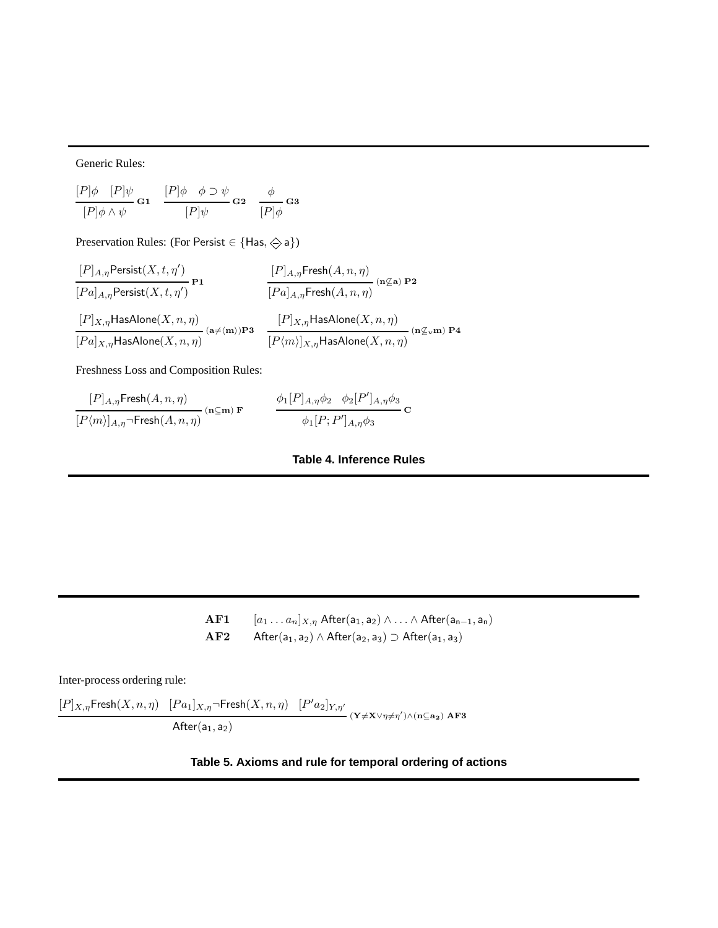Generic Rules:

$$
\frac{[P]\phi \quad [P]\psi}{[P]\phi \land \psi} \mathbf{G1} \quad \frac{[P]\phi \quad \phi \supset \psi}{[P]\psi} \mathbf{G2} \quad \frac{\phi}{[P]\phi} \mathbf{G3}
$$

 $\text{Preservation Rules: (For Persist} \in \{\text{Has}, \diamondsuit \texttt{a}\})$ 

$$
\label{eq:3} \begin{array}{ll} \displaystyle [P]_{A,\eta} {\sf{Persist}}(X,t,\eta') \\ \displaystyle [Pa]_{A,\eta} {\sf{Persist}}(X,t,\eta') \\ \displaystyle [P]_{X,\eta} {\sf{HasAlone}}(X,\iota,\eta') \\ \displaystyle [P]_{X,\eta} {\sf{HasAlone}}(X,n,\eta) \\ \displaystyle [P_{a}]_{X,\eta} {\sf{HasAlone}}(X,n,\eta) \\ \displaystyle [P_{a}]_{X,\eta} {\sf{HasAlone}}(X,n,\eta) \\ \end{array} \quad \begin{array}{ll} \displaystyle [P]_{A,\eta} {\sf{Fresh}}(A,n,\eta) \\ \displaystyle [P_{X,\eta} {\sf{HasAlone}}(X,n,\eta) \\ \displaystyle [P_{X,\eta} {\sf{HasAlone}}(X,n,\eta) \\ \displaystyle [P_{X,\eta} {\sf{HasAlone}}(X,n,\eta) \\ \end{array} \quad \begin{array}{ll} \displaystyle [P]_{X,\eta} {\sf{Fresh}}(A,n,\eta) \\ \displaystyle [P_{X,\eta} {\sf{HasAlone}}(X,n,\eta) \\ \displaystyle [P_{X,\eta} {\sf{HasAlone}}(X,n,\eta) \\ \end{array} \quad \begin{array}{ll} \displaystyle \alpha \leq n \end{array}
$$

Freshness Loss and Composition Rules:

$$
\frac{[P]_{A,\eta}\mathrm{Fresh}(A,n,\eta)}{[P\langle m\rangle]_{A,\eta}\neg\mathrm{Fresh}(A,n,\eta)}\cdot\mathbf{n}\subseteq\mathbf{m}\mathrm{F}\qquad\qquad\frac{\phi_1[P]_{A,\eta}\phi_2\quad\phi_2[P']_{A,\eta}\phi_3}{\phi_1[P;P']_{A,\eta}\phi_3}\,\mathbf{C}
$$

# **Table 4. Inference Rules**

**AF1**  $[a_1 \ldots a_n]_{X,\eta}$  After $(a_1, a_2) \wedge \ldots \wedge$  After $(a_{n-1}, a_n)$  $AF2$  After(a<sub>1</sub>, a<sub>2</sub>) ∧ After(a<sub>2</sub>, a<sub>3</sub>) ⊃ After(a<sub>1</sub>, a<sub>3</sub>)

Inter-process ordering rule:

 $[P]_{X,\eta}$ Fresh $(X, n, \eta)$   $[Pa_1]_{X,\eta}$ ¬Fresh $(X, n, \eta)$   $[P'a_2]_{Y,\eta'}$ <br> $(Y \neq X \lor \eta \neq \eta') \land (n \subseteq a_2)$  AF3  ${\sf After}({\sf a}_1,{\sf a}_2)$ 

# **Table 5. Axioms and rule for temporal ordering of actions**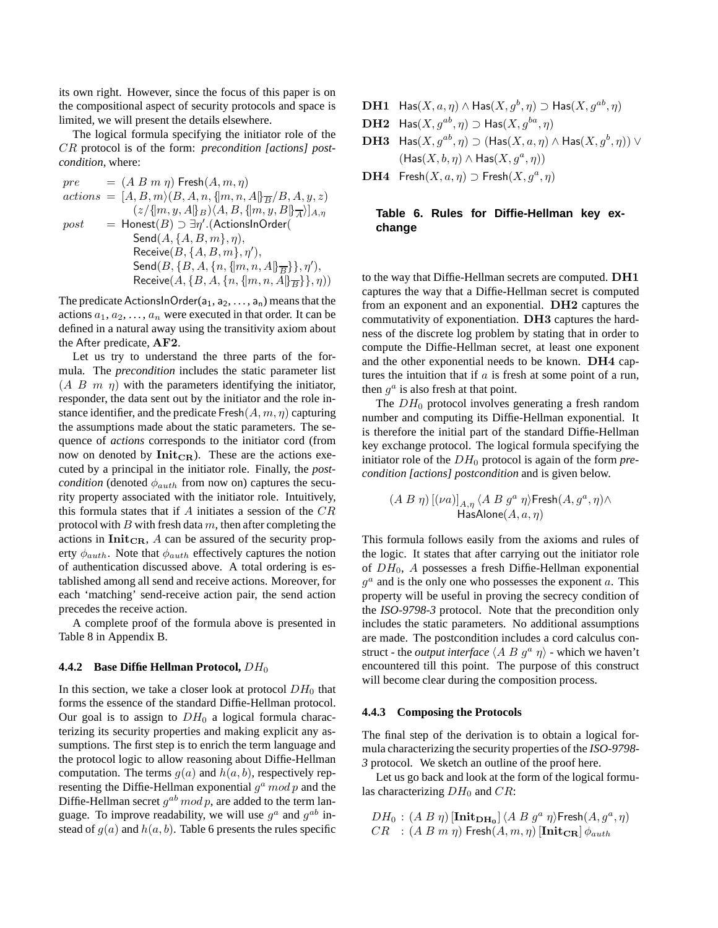its own right. However, since the focus of this paper is on the compositional aspect of security protocols and space is limited, we will present the details elsewhere.

The logical formula specifying the initiator role of the CR protocol is of the form: *precondition [actions] postcondition*, where:

$$
\begin{array}{ll} pre & = (A \ B \ m \ \eta) \ \text{Fresh}(A,m,\eta) \\ \textit{actions} & = [A,B,m \rangle (B,A,n,\{|m,n,A|\}_{\overline{B}}/B,A,y,z) \\ & (z/\{|m,y,A|\}_{B}) \langle A,B,\{|m,y,B|\}_{\overline{A}} \rangle]_{A,\eta} \\ post & = \ \text{Honest}(B) \supset \exists \eta'.(\textit{ActionsnOrder}(\textit{Send}(A,\{A,B,m\},\eta),\textit{Receive}(B,\{A,B,m\},\eta'), \textit{Secive}(B,\{B,A,\{n,\{|m,n,A|\}_{\overline{B}}\}\},\eta'), \\ & \textit{Receive}(A,\{B,A,\{n,\{|m,n,A|\}_{\overline{B}}\}\},\eta)) \end{array}
$$

The predicate ActionsInOrder( $a_1, a_2, \ldots, a_n$ ) means that the actions  $a_1, a_2, \ldots, a_n$  were executed in that order. It can be defined in a natural away using the transitivity axiom about the After predicate, AF2.

Let us try to understand the three parts of the formula. The *precondition* includes the static parameter list  $(A \ B \ m \ \eta)$  with the parameters identifying the initiator, responder, the data sent out by the initiator and the role instance identifier, and the predicate  $\mathsf{Fresh}(A, m, \eta)$  capturing the assumptions made about the static parameters. The sequence of *actions* corresponds to the initiator cord (from now on denoted by  $Init_{CR}$ ). These are the actions executed by a principal in the initiator role. Finally, the *postcondition* (denoted  $\phi_{auth}$  from now on) captures the security property associated with the initiator role. Intuitively, this formula states that if  $A$  initiates a session of the  $CR$ protocol with B with fresh data  $m$ , then after completing the actions in  $Init_{CR}$ , A can be assured of the security property  $\phi_{auth}$ . Note that  $\phi_{auth}$  effectively captures the notion of authentication discussed above. A total ordering is established among all send and receive actions. Moreover, for each 'matching' send-receive action pair, the send action precedes the receive action.

A complete proof of the formula above is presented in Table 8 in Appendix B.

#### **4.4.2** Base Diffie Hellman Protocol,  $DH_0$

In this section, we take a closer look at protocol  $DH_0$  that forms the essence of the standard Diffie-Hellman protocol. Our goal is to assign to  $DH_0$  a logical formula characterizing its security properties and making explicit any assumptions. The first step is to enrich the term language and the protocol logic to allow reasoning about Diffie-Hellman computation. The terms  $g(a)$  and  $h(a, b)$ , respectively representing the Diffie-Hellman exponential  $g^a \mod p$  and the Diffie-Hellman secret  $g^{ab}$  mod p, are added to the term language. To improve readability, we will use  $g^a$  and  $g^{ab}$  instead of  $g(a)$  and  $h(a, b)$ . Table 6 presents the rules specific

**DH1**  $\textsf{Has}(X, a, \eta) \land \textsf{Has}(X, g^b, \eta) \supset \textsf{Has}(X, g^{ab}, \eta)$ **DH2** Has $(X, q^{ab}, \eta)$   $\supset$  Has $(X, q^{ba}, \eta)$ **DH3**  $\mathsf{Has}(X, g^{ab}, \eta) \supset (\mathsf{Has}(X, a, \eta) \land \mathsf{Has}(X, g^b, \eta)) \lor$  $(Has(X, b, \eta) \wedge Has(X, g^a, \eta))$ **DH4** Fresh $(X, a, \eta)$   $\supset$  Fresh $(X, g^a, \eta)$ 

# **Table 6. Rules for Diffie-Hellman key exchange**

to the way that Diffie-Hellman secrets are computed. DH1 captures the way that a Diffie-Hellman secret is computed from an exponent and an exponential. DH2 captures the commutativity of exponentiation. DH3 captures the hardness of the discrete log problem by stating that in order to compute the Diffie-Hellman secret, at least one exponent and the other exponential needs to be known. DH4 captures the intuition that if  $a$  is fresh at some point of a run, then  $g^a$  is also fresh at that point.

The  $DH_0$  protocol involves generating a fresh random number and computing its Diffie-Hellman exponential. It is therefore the initial part of the standard Diffie-Hellman key exchange protocol. The logical formula specifying the initiator role of the  $DH_0$  protocol is again of the form  $pre$ *condition [actions] postcondition* and is given below.

$$
\begin{array}{l} (A\ B\ \eta)\,[(\nu a)]_{A,\eta}\,\langle A\ B\ g^a\ \eta\rangle\mathrm{Fresh}(A,g^a,\eta)\wedge \\ \mathrm{\textsf{HasAlone}}(A,a,\eta) \end{array}
$$

This formula follows easily from the axioms and rules of the logic. It states that after carrying out the initiator role of  $DH_0$ , A possesses a fresh Diffie-Hellman exponential  $g^a$  and is the only one who possesses the exponent  $a$ . This property will be useful in proving the secrecy condition of the *ISO-9798-3* protocol. Note that the precondition only includes the static parameters. No additional assumptions are made. The postcondition includes a cord calculus construct - the *output interface*  $\langle A \, B \, g^a \, \eta \rangle$  - which we haven't encountered till this point. The purpose of this construct will become clear during the composition process.

#### **4.4.3 Composing the Protocols**

The final step of the derivation is to obtain a logical formula characterizing the security properties of the *ISO-9798- 3* protocol. We sketch an outline of the proof here.

Let us go back and look at the form of the logical formulas characterizing  $DH_0$  and  $CR$ :

 $DH_0$ :  $(A B \eta)$   $[Init_{DH_0}] \langle A B g^a \eta \rangle$ Fresh $(A, g^a, \eta)$  $CR$  :  $(A B m \eta)$  Fresh $(A, m, \eta)$  [Init<sub>CR</sub>]  $\phi_{auth}$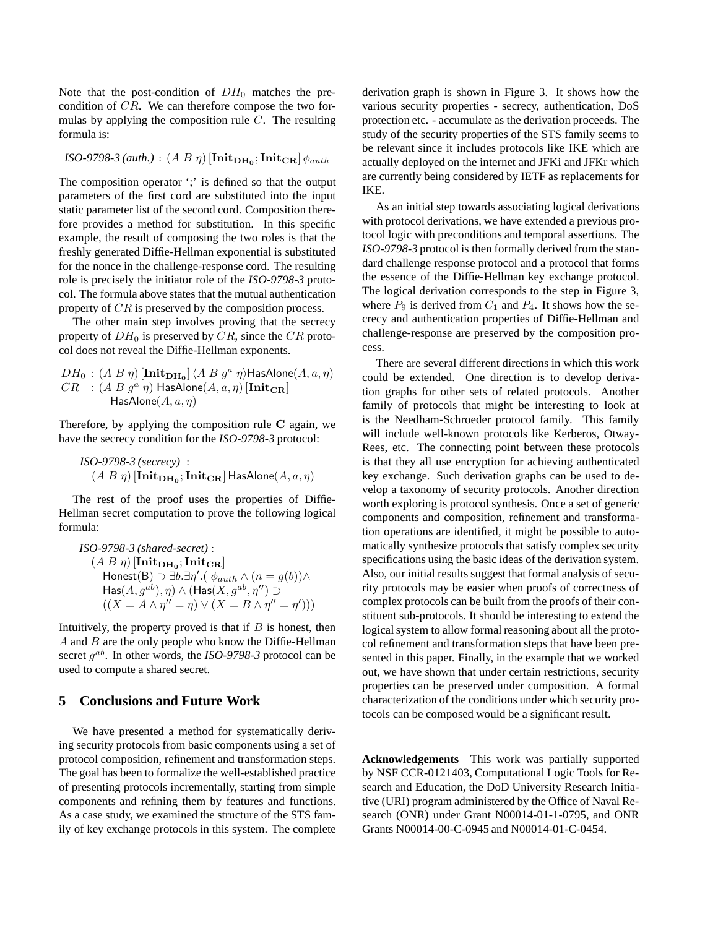Note that the post-condition of  $DH_0$  matches the precondition of CR. We can therefore compose the two formulas by applying the composition rule  $C$ . The resulting formula is:

# *ISO-9798-3 (auth.)* :  $(A \ B \ \eta)$   $[\mathbf{Init}_{\mathbf{DH}_0}; \mathbf{Init}_{\mathbf{CR}}]$   $\phi_{auth}$

The composition operator ';' is defined so that the output parameters of the first cord are substituted into the input static parameter list of the second cord. Composition therefore provides a method for substitution. In this specific example, the result of composing the two roles is that the freshly generated Diffie-Hellman exponential is substituted for the nonce in the challenge-response cord. The resulting role is precisely the initiator role of the *ISO-9798-3* protocol. The formula above states that the mutual authentication property of CR is preserved by the composition process.

The other main step involves proving that the secrecy property of  $DH_0$  is preserved by CR, since the CR protocol does not reveal the Diffie-Hellman exponents.

$$
DH_0: (A \ B \ \eta) \ [\textbf{Init}_{\textbf{DH}_0}] \ A \ B \ g^a \ \eta \rangle \textsf{HasAlone}(A,a,\eta)
$$
\n
$$
CR \ : \ (A \ B \ g^a \ \eta) \ \textsf{HasAlone}(A,a,\eta) \ [\textbf{Init}_{\textbf{CR}}]
$$
\n
$$
\textsf{HasAlone}(A,a,\eta)
$$

Therefore, by applying the composition rule  $C$  again, we have the secrecy condition for the *ISO-9798-3* protocol:

*ISO-9798-3 (secrecy)* :  $(A B \eta)$  [Init $_{\text{DH}_0}$ ; Init $_{\text{CR}}$ ] HasAlone $(A, a, \eta)$ 

The rest of the proof uses the properties of Diffie-Hellman secret computation to prove the following logical formula:

*ISO-9798-3 (shared-secret)* :  
\n
$$
(A B \eta) [\text{Init}_{\text{DH}_0}; \text{Init}_{\text{CR}}]
$$
  
\n $\text{Honest}(B) \supset \exists b.\exists \eta'.(\phi_{auth} \land (n = g(b)) \land$   
\n $\text{Has}(A, g^{ab}), \eta) \land (\text{Has}(X, g^{ab}, \eta'') \supset$   
\n $((X = A \land \eta'' = \eta) \lor (X = B \land \eta'' = \eta'))$ 

Intuitively, the property proved is that if  $B$  is honest, then  $A$  and  $B$  are the only people who know the Diffie-Hellman secret  $g^{ab}$ . In other words, the *ISO-9798-3* protocol can be used to compute a shared secret.

# **5 Conclusions and Future Work**

We have presented a method for systematically deriving security protocols from basic components using a set of protocol composition, refinement and transformation steps. The goal has been to formalize the well-established practice of presenting protocols incrementally, starting from simple components and refining them by features and functions. As a case study, we examined the structure of the STS family of key exchange protocols in this system. The complete derivation graph is shown in Figure 3. It shows how the various security properties - secrecy, authentication, DoS protection etc. - accumulate as the derivation proceeds. The study of the security properties of the STS family seems to be relevant since it includes protocols like IKE which are actually deployed on the internet and JFKi and JFKr which are currently being considered by IETF as replacements for IKE.

As an initial step towards associating logical derivations with protocol derivations, we have extended a previous protocol logic with preconditions and temporal assertions. The *ISO-9798-3* protocol is then formally derived from the standard challenge response protocol and a protocol that forms the essence of the Diffie-Hellman key exchange protocol. The logical derivation corresponds to the step in Figure 3, where  $P_9$  is derived from  $C_1$  and  $P_4$ . It shows how the secrecy and authentication properties of Diffie-Hellman and challenge-response are preserved by the composition process.

There are several different directions in which this work could be extended. One direction is to develop derivation graphs for other sets of related protocols. Another family of protocols that might be interesting to look at is the Needham-Schroeder protocol family. This family will include well-known protocols like Kerberos, Otway-Rees, etc. The connecting point between these protocols is that they all use encryption for achieving authenticated key exchange. Such derivation graphs can be used to develop a taxonomy of security protocols. Another direction worth exploring is protocol synthesis. Once a set of generic components and composition, refinement and transformation operations are identified, it might be possible to automatically synthesize protocols that satisfy complex security specifications using the basic ideas of the derivation system. Also, our initial results suggest that formal analysis of security protocols may be easier when proofs of correctness of complex protocols can be built from the proofs of their constituent sub-protocols. It should be interesting to extend the logical system to allow formal reasoning about all the protocol refinement and transformation steps that have been presented in this paper. Finally, in the example that we worked out, we have shown that under certain restrictions, security properties can be preserved under composition. A formal characterization of the conditions under which security protocols can be composed would be a significant result.

**Acknowledgements** This work was partially supported by NSF CCR-0121403, Computational Logic Tools for Research and Education, the DoD University Research Initiative (URI) program administered by the Office of Naval Research (ONR) under Grant N00014-01-1-0795, and ONR Grants N00014-00-C-0945 and N00014-01-C-0454.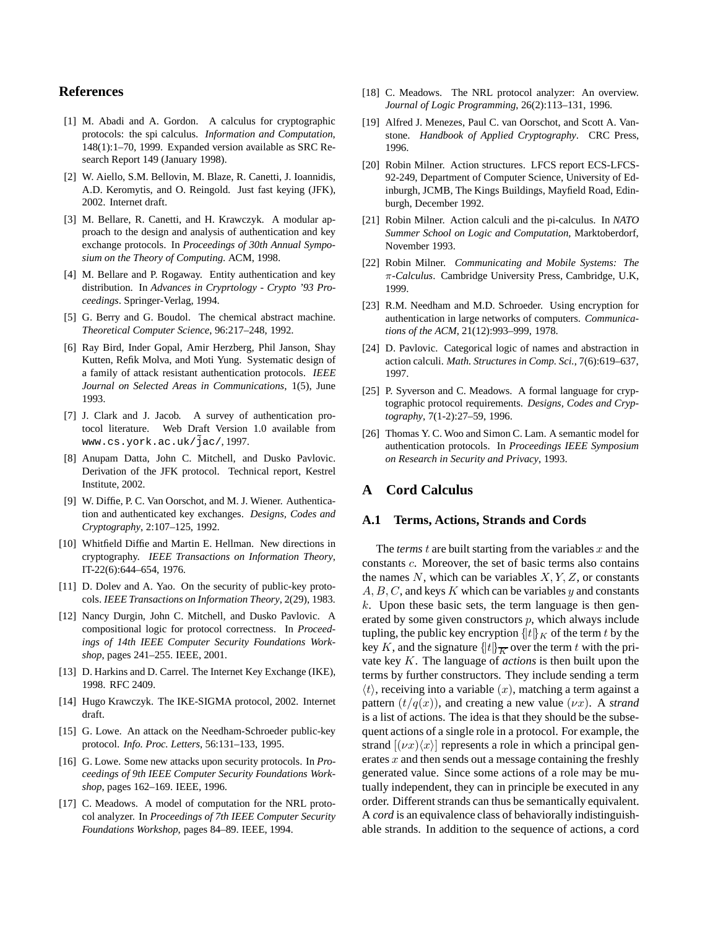# **References**

- [1] M. Abadi and A. Gordon. A calculus for cryptographic protocols: the spi calculus. *Information and Computation*, 148(1):1–70, 1999. Expanded version available as SRC Research Report 149 (January 1998).
- [2] W. Aiello, S.M. Bellovin, M. Blaze, R. Canetti, J. Ioannidis, A.D. Keromytis, and O. Reingold. Just fast keying (JFK), 2002. Internet draft.
- [3] M. Bellare, R. Canetti, and H. Krawczyk. A modular approach to the design and analysis of authentication and key exchange protocols. In *Proceedings of 30th Annual Symposium on the Theory of Computing*. ACM, 1998.
- [4] M. Bellare and P. Rogaway. Entity authentication and key distribution. In *Advances in Cryprtology - Crypto '93 Proceedings*. Springer-Verlag, 1994.
- [5] G. Berry and G. Boudol. The chemical abstract machine. *Theoretical Computer Science*, 96:217–248, 1992.
- [6] Ray Bird, Inder Gopal, Amir Herzberg, Phil Janson, Shay Kutten, Refik Molva, and Moti Yung. Systematic design of a family of attack resistant authentication protocols. *IEEE Journal on Selected Areas in Communications*, 1(5), June 1993.
- [7] J. Clark and J. Jacob. A survey of authentication protocol literature. Web Draft Version 1.0 available from www.cs.york.ac.uk/˜jac/, 1997.
- [8] Anupam Datta, John C. Mitchell, and Dusko Pavlovic. Derivation of the JFK protocol. Technical report, Kestrel Institute, 2002.
- [9] W. Diffie, P. C. Van Oorschot, and M. J. Wiener. Authentication and authenticated key exchanges. *Designs, Codes and Cryptography*, 2:107–125, 1992.
- [10] Whitfield Diffie and Martin E. Hellman. New directions in cryptography. *IEEE Transactions on Information Theory*, IT-22(6):644–654, 1976.
- [11] D. Dolev and A. Yao. On the security of public-key protocols. *IEEE Transactions on Information Theory*, 2(29), 1983.
- [12] Nancy Durgin, John C. Mitchell, and Dusko Pavlovic. A compositional logic for protocol correctness. In *Proceedings of 14th IEEE Computer Security Foundations Workshop*, pages 241–255. IEEE, 2001.
- [13] D. Harkins and D. Carrel. The Internet Key Exchange (IKE), 1998. RFC 2409.
- [14] Hugo Krawczyk. The IKE-SIGMA protocol, 2002. Internet draft.
- [15] G. Lowe. An attack on the Needham-Schroeder public-key protocol. *Info. Proc. Letters*, 56:131–133, 1995.
- [16] G. Lowe. Some new attacks upon security protocols. In *Proceedings of 9th IEEE Computer Security Foundations Workshop*, pages 162–169. IEEE, 1996.
- [17] C. Meadows. A model of computation for the NRL protocol analyzer. In *Proceedings of 7th IEEE Computer Security Foundations Workshop*, pages 84–89. IEEE, 1994.
- [18] C. Meadows. The NRL protocol analyzer: An overview. *Journal of Logic Programming*, 26(2):113–131, 1996.
- [19] Alfred J. Menezes, Paul C. van Oorschot, and Scott A. Vanstone. *Handbook of Applied Cryptography*. CRC Press, 1996.
- [20] Robin Milner. Action structures. LFCS report ECS-LFCS-92-249, Department of Computer Science, University of Edinburgh, JCMB, The Kings Buildings, Mayfield Road, Edinburgh, December 1992.
- [21] Robin Milner. Action calculi and the pi-calculus. In *NATO Summer School on Logic and Computation*, Marktoberdorf, November 1993.
- [22] Robin Milner. *Communicating and Mobile Systems: The* π*-Calculus*. Cambridge University Press, Cambridge, U.K, 1999.
- [23] R.M. Needham and M.D. Schroeder. Using encryption for authentication in large networks of computers. *Communications of the ACM*, 21(12):993–999, 1978.
- [24] D. Pavlovic. Categorical logic of names and abstraction in action calculi. *Math. Structures in Comp. Sci.*, 7(6):619–637, 1997.
- [25] P. Syverson and C. Meadows. A formal language for cryptographic protocol requirements. *Designs, Codes and Cryptography*, 7(1-2):27–59, 1996.
- [26] Thomas Y. C. Woo and Simon C. Lam. A semantic model for authentication protocols. In *Proceedings IEEE Symposium on Research in Security and Privacy*, 1993.

# **A Cord Calculus**

## **A.1 Terms, Actions, Strands and Cords**

The *terms*  $t$  are built starting from the variables  $x$  and the constants c. Moreover, the set of basic terms also contains the names N, which can be variables  $X, Y, Z$ , or constants  $A, B, C$ , and keys K which can be variables y and constants  $k$ . Upon these basic sets, the term language is then generated by some given constructors  $p$ , which always include tupling, the public key encryption  $\{ |t| \le K}$  of the term t by the key K, and the signature  ${t}{t}$  over the term t with the private key K. The language of *actions* is then built upon the terms by further constructors. They include sending a term  $\langle t \rangle$ , receiving into a variable  $(x)$ , matching a term against a pattern  $(t/q(x))$ , and creating a new value  $(\nu x)$ . A *strand* is a list of actions. The idea is that they should be the subsequent actions of a single role in a protocol. For example, the strand  $[ (vx)\langle x \rangle ]$  represents a role in which a principal generates  $x$  and then sends out a message containing the freshly generated value. Since some actions of a role may be mutually independent, they can in principle be executed in any order. Different strands can thus be semantically equivalent. A *cord* is an equivalence class of behaviorally indistinguishable strands. In addition to the sequence of actions, a cord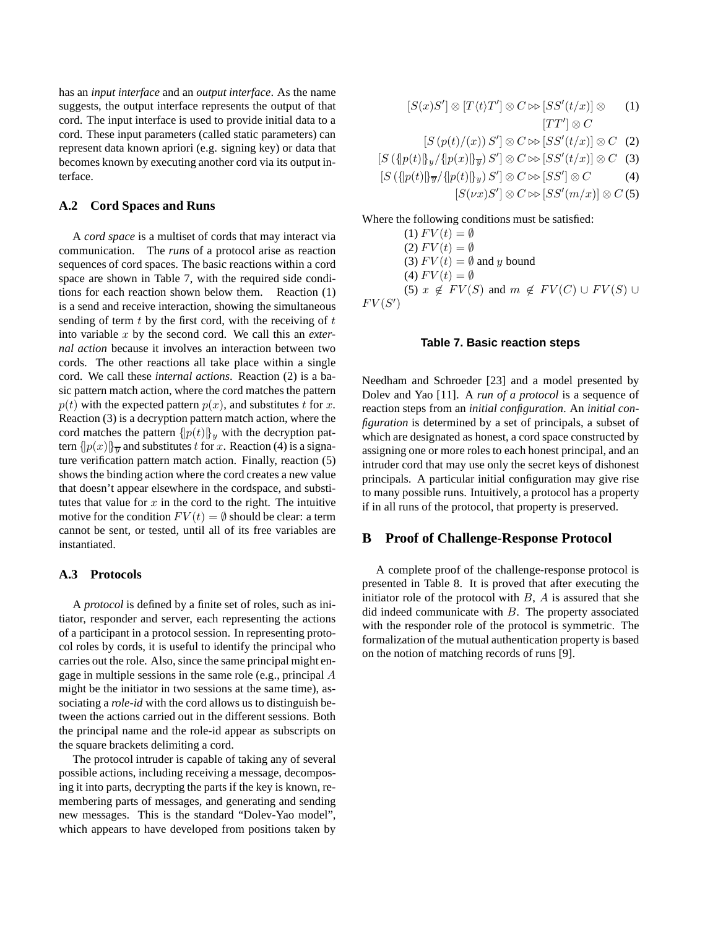has an *input interface* and an *output interface*. As the name suggests, the output interface represents the output of that cord. The input interface is used to provide initial data to a cord. These input parameters (called static parameters) can represent data known apriori (e.g. signing key) or data that becomes known by executing another cord via its output interface.

## **A.2 Cord Spaces and Runs**

A *cord space* is a multiset of cords that may interact via communication. The *runs* of a protocol arise as reaction sequences of cord spaces. The basic reactions within a cord space are shown in Table 7, with the required side conditions for each reaction shown below them. Reaction (1) is a send and receive interaction, showing the simultaneous sending of term  $t$  by the first cord, with the receiving of  $t$ into variable x by the second cord. We call this an *external action* because it involves an interaction between two cords. The other reactions all take place within a single cord. We call these *internal actions*. Reaction (2) is a basic pattern match action, where the cord matches the pattern  $p(t)$  with the expected pattern  $p(x)$ , and substitutes t for x. Reaction (3) is a decryption pattern match action, where the cord matches the pattern  $\{p(t)\}\mathfrak{y}$  with the decryption pattern  $\{|p(x)|\}$ <sub>y</sub> and substitutes t for x. Reaction (4) is a signature verification pattern match action. Finally, reaction (5) shows the binding action where the cord creates a new value that doesn't appear elsewhere in the cordspace, and substitutes that value for  $x$  in the cord to the right. The intuitive motive for the condition  $FV(t) = \emptyset$  should be clear: a term cannot be sent, or tested, until all of its free variables are instantiated.

## **A.3 Protocols**

A *protocol* is defined by a finite set of roles, such as initiator, responder and server, each representing the actions of a participant in a protocol session. In representing protocol roles by cords, it is useful to identify the principal who carries out the role. Also, since the same principal might engage in multiple sessions in the same role (e.g., principal A might be the initiator in two sessions at the same time), associating a *role-id* with the cord allows us to distinguish between the actions carried out in the different sessions. Both the principal name and the role-id appear as subscripts on the square brackets delimiting a cord.

The protocol intruder is capable of taking any of several possible actions, including receiving a message, decomposing it into parts, decrypting the parts if the key is known, remembering parts of messages, and generating and sending new messages. This is the standard "Dolev-Yao model", which appears to have developed from positions taken by

$$
[S(x)S'] \otimes [T\langle t \rangle T'] \otimes C \rhd \rhd [SS'(t/x)] \otimes \qquad (1)
$$

$$
[TT'] \otimes C
$$

$$
[S(p(t)/(x)) S'] \otimes C \triangleright \triangleright [SS'(t/x)] \otimes C \quad (2)
$$

 $[S(\{p(t)\}_y/\{p(x)\}_y) S'] \otimes C \triangleright S[S'(t/x)] \otimes C$  (3)  $[S(\{p(t)\}\overline{y}/\{p(t)\}\ y) S'] \otimes C \triangleright S[S] \otimes C$  (4)  $[S(\nu x)S'] \otimes C \triangleright \triangleright [SS'(m/x)] \otimes C$  (5)

Where the following conditions must be satisfied:

(1) 
$$
FV(t) = \emptyset
$$
  
\n(2)  $FV(t) = \emptyset$   
\n(3)  $FV(t) = \emptyset$  and y bound  
\n(4)  $FV(t) = \emptyset$   
\n(5)  $x \notin FV(S)$  and  $m \notin FV(C) \cup FV(S) \cup FV(S')$ 

#### **Table 7. Basic reaction steps**

Needham and Schroeder [23] and a model presented by Dolev and Yao [11]. A *run of a protocol* is a sequence of reaction steps from an *initial configuration*. An *initial configuration* is determined by a set of principals, a subset of which are designated as honest, a cord space constructed by assigning one or more roles to each honest principal, and an intruder cord that may use only the secret keys of dishonest principals. A particular initial configuration may give rise to many possible runs. Intuitively, a protocol has a property if in all runs of the protocol, that property is preserved.

### **B Proof of Challenge-Response Protocol**

A complete proof of the challenge-response protocol is presented in Table 8. It is proved that after executing the initiator role of the protocol with  $B$ ,  $A$  is assured that she did indeed communicate with  $B$ . The property associated with the responder role of the protocol is symmetric. The formalization of the mutual authentication property is based on the notion of matching records of runs [9].